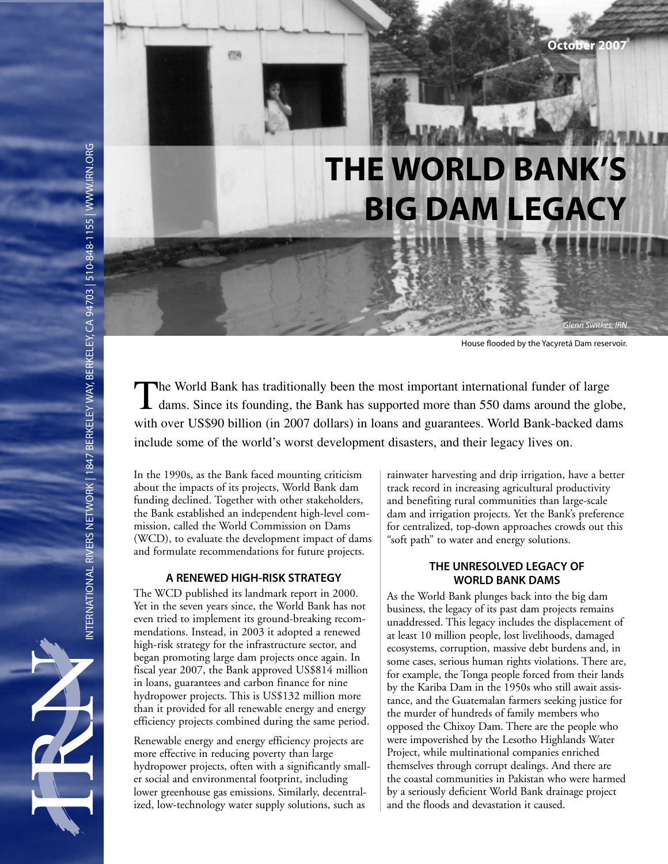# **THE WORLD BANK'S BIG DAM LEGACY**

House flooded by the Yacyretá Dam reservoir.

Glenn Switkes, IRN

The World Bank has traditionally been the most important international funder of large dams. Since its founding, the Bank has supported more than 550 dams around the globe, with over US\$90 billion (in 2007 dollars) in loans and guarantees. World Bank-backed dams include some of the world's worst development disasters, and their legacy lives on.

In the 1990s, as the Bank faced mounting criticism about the impacts of its projects, World Bank dam funding declined. Together with other stakeholders, the Bank established an independent high-level commission, called the World Commission on Dams (WCD), to evaluate the development impact of dams and formulate recommendations for future projects.

### **A RENEWED HIGH-RISK STRATEGY**

The WCD published its landmark report in 2000. Yet in the seven years since, the World Bank has not even tried to implement its ground-breaking recommendations. Instead, in 2003 it adopted a renewed high-risk strategy for the infrastructure sector, and began promoting large dam projects once again. In fiscal year 2007, the Bank approved US\$814 million in loans, guarantees and carbon finance for nine hydropower projects. This is US\$132 million more than it provided for all renewable energy and energy efficiency projects combined during the same period.

Renewable energy and energy efficiency projects are more effective in reducing poverty than large hydropower projects, often with a significantly smaller social and environmental footprint, including lower greenhouse gas emissions. Similarly, decentralized, low-technology water supply solutions, such as

rainwater harvesting and drip irrigation, have a better track record in increasing agricultural productivity and benefiting rural communities than large-scale dam and irrigation projects. Yet the Bank's preference for centralized, top-down approaches crowds out this "soft path" to water and energy solutions.

### **THE UNRESOLVED LEGACY OF WORLD BANK DAMS**

As the World Bank plunges back into the big dam business, the legacy of its past dam projects remains unaddressed. This legacy includes the displacement of at least 10 million people, lost livelihoods, damaged ecosystems, corruption, massive debt burdens and, in some cases, serious human rights violations. There are, for example, the Tonga people forced from their lands by the Kariba Dam in the 1950s who still await assistance, and the Guatemalan farmers seeking justice for the murder of hundreds of family members who opposed the Chixoy Dam. There are the people who were impoverished by the Lesotho Highlands Water Project, while multinational companies enriched themselves through corrupt dealings. And there are the coastal communities in Pakistan who were harmed by a seriously deficient World Bank drainage project and the floods and devastation it caused.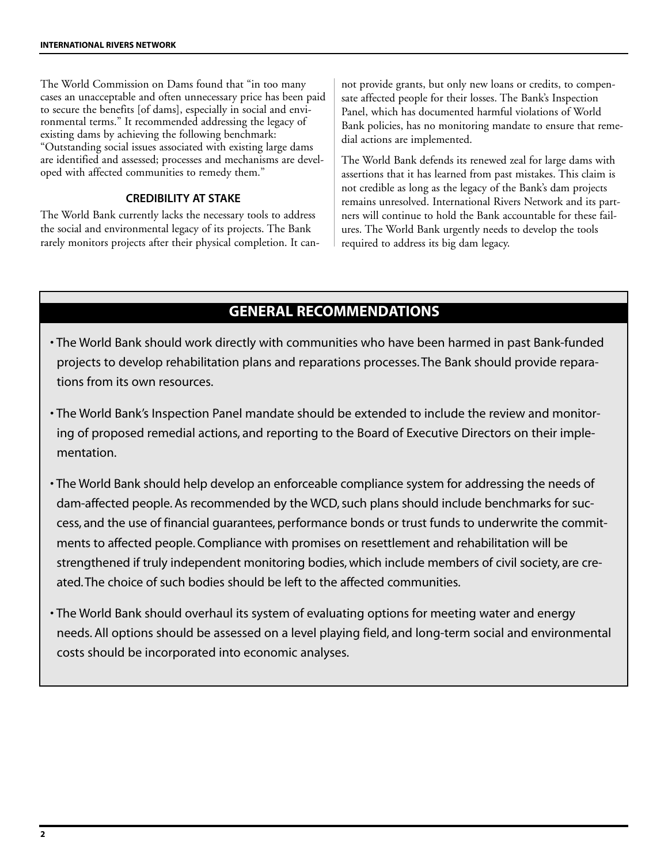The World Commission on Dams found that "in too many cases an unacceptable and often unnecessary price has been paid to secure the benefits [of dams], especially in social and environmental terms." It recommended addressing the legacy of existing dams by achieving the following benchmark: "Outstanding social issues associated with existing large dams are identified and assessed; processes and mechanisms are developed with affected communities to remedy them."

### **CREDIBILITY AT STAKE**

The World Bank currently lacks the necessary tools to address the social and environmental legacy of its projects. The Bank rarely monitors projects after their physical completion. It cannot provide grants, but only new loans or credits, to compensate affected people for their losses. The Bank's Inspection Panel, which has documented harmful violations of World Bank policies, has no monitoring mandate to ensure that remedial actions are implemented.

The World Bank defends its renewed zeal for large dams with assertions that it has learned from past mistakes. This claim is not credible as long as the legacy of the Bank's dam projects remains unresolved. International Rivers Network and its partners will continue to hold the Bank accountable for these failures. The World Bank urgently needs to develop the tools required to address its big dam legacy.

### **GENERAL RECOMMENDATIONS**

- The World Bank should work directly with communities who have been harmed in past Bank-funded projects to develop rehabilitation plans and reparations processes. The Bank should provide reparations from its own resources.
- The World Bank's Inspection Panel mandate should be extended to include the review and monitoring of proposed remedial actions, and reporting to the Board of Executive Directors on their implementation.
- The World Bank should help develop an enforceable compliance system for addressing the needs of dam-affected people. As recommended by the WCD, such plans should include benchmarks for success, and the use of financial guarantees, performance bonds or trust funds to underwrite the commitments to affected people. Compliance with promises on resettlement and rehabilitation will be strengthened if truly independent monitoring bodies, which include members of civil society, are created. The choice of such bodies should be left to the affected communities.
- The World Bank should overhaul its system of evaluating options for meeting water and energy needs. All options should be assessed on a level playing field, and long-term social and environmental costs should be incorporated into economic analyses.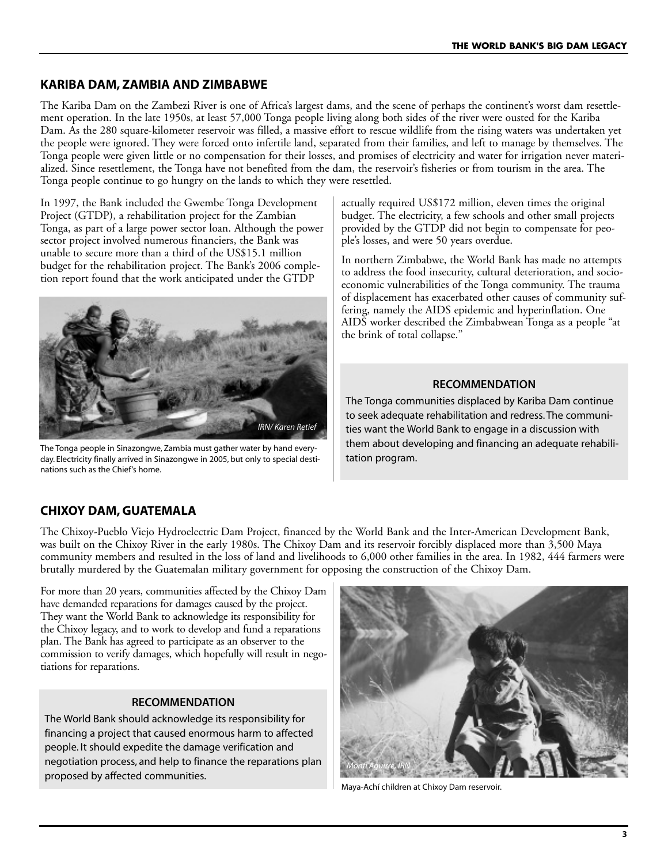### **KARIBA DAM, ZAMBIA AND ZIMBABWE**

The Kariba Dam on the Zambezi River is one of Africa's largest dams, and the scene of perhaps the continent's worst dam resettlement operation. In the late 1950s, at least 57,000 Tonga people living along both sides of the river were ousted for the Kariba Dam. As the 280 square-kilometer reservoir was filled, a massive effort to rescue wildlife from the rising waters was undertaken yet the people were ignored. They were forced onto infertile land, separated from their families, and left to manage by themselves. The Tonga people were given little or no compensation for their losses, and promises of electricity and water for irrigation never materialized. Since resettlement, the Tonga have not benefited from the dam, the reservoir's fisheries or from tourism in the area. The Tonga people continue to go hungry on the lands to which they were resettled.

In 1997, the Bank included the Gwembe Tonga Development Project (GTDP), a rehabilitation project for the Zambian Tonga, as part of a large power sector loan. Although the power sector project involved numerous financiers, the Bank was unable to secure more than a third of the US\$15.1 million budget for the rehabilitation project. The Bank's 2006 completion report found that the work anticipated under the GTDP



The Tonga people in Sinazongwe, Zambia must gather water by hand everyday. Electricity finally arrived in Sinazongwe in 2005, but only to special destinations such as the Chief's home.

actually required US\$172 million, eleven times the original budget. The electricity, a few schools and other small projects provided by the GTDP did not begin to compensate for people's losses, and were 50 years overdue.

In northern Zimbabwe, the World Bank has made no attempts to address the food insecurity, cultural deterioration, and socioeconomic vulnerabilities of the Tonga community. The trauma of displacement has exacerbated other causes of community suffering, namely the AIDS epidemic and hyperinflation. One AIDS worker described the Zimbabwean Tonga as a people "at the brink of total collapse."

### **RECOMMENDATION**

The Tonga communities displaced by Kariba Dam continue to seek adequate rehabilitation and redress. The communities want the World Bank to engage in a discussion with them about developing and financing an adequate rehabilitation program.

### **CHIXOY DAM, GUATEMALA**

The Chixoy-Pueblo Viejo Hydroelectric Dam Project, financed by the World Bank and the Inter-American Development Bank, was built on the Chixoy River in the early 1980s. The Chixoy Dam and its reservoir forcibly displaced more than 3,500 Maya community members and resulted in the loss of land and livelihoods to 6,000 other families in the area. In 1982, 444 farmers were brutally murdered by the Guatemalan military government for opposing the construction of the Chixoy Dam.

For more than 20 years, communities affected by the Chixoy Dam have demanded reparations for damages caused by the project. They want the World Bank to acknowledge its responsibility for the Chixoy legacy, and to work to develop and fund a reparations plan. The Bank has agreed to participate as an observer to the commission to verify damages, which hopefully will result in negotiations for reparations.

### **RECOMMENDATION**

The World Bank should acknowledge its responsibility for financing a project that caused enormous harm to affected people. It should expedite the damage verification and negotiation process, and help to finance the reparations plan proposed by affected communities.



Maya-Achí children at Chixoy Dam reservoir.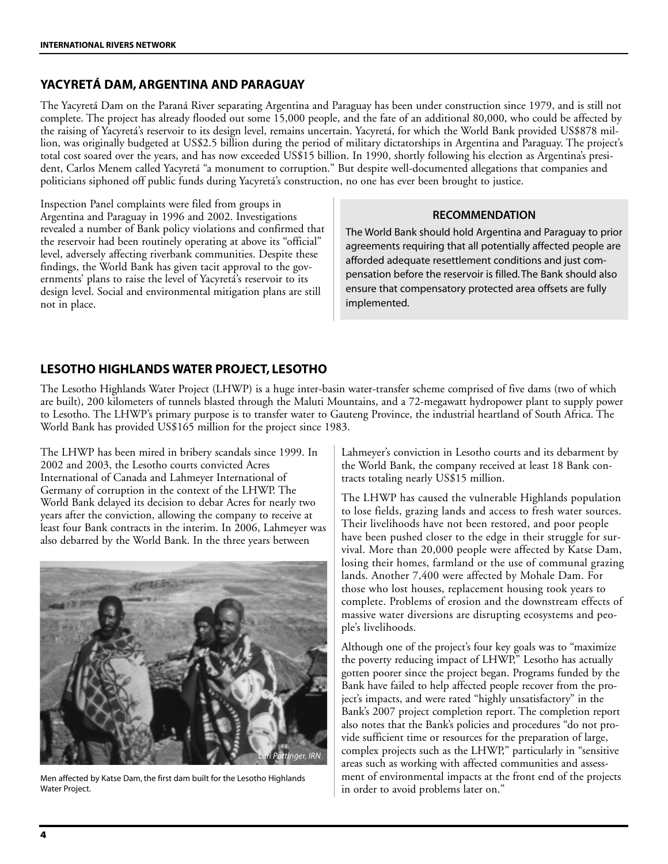### **YACYRETÁ DAM, ARGENTINA AND PARAGUAY**

The Yacyretá Dam on the Paraná River separating Argentina and Paraguay has been under construction since 1979, and is still not complete. The project has already flooded out some 15,000 people, and the fate of an additional 80,000, who could be affected by the raising of Yacyretá's reservoir to its design level, remains uncertain. Yacyretá, for which the World Bank provided US\$878 million, was originally budgeted at US\$2.5 billion during the period of military dictatorships in Argentina and Paraguay. The project's total cost soared over the years, and has now exceeded US\$15 billion. In 1990, shortly following his election as Argentina's president, Carlos Menem called Yacyretá "a monument to corruption." But despite well-documented allegations that companies and politicians siphoned off public funds during Yacyretá's construction, no one has ever been brought to justice.

Inspection Panel complaints were filed from groups in Argentina and Paraguay in 1996 and 2002. Investigations revealed a number of Bank policy violations and confirmed that the reservoir had been routinely operating at above its "official" level, adversely affecting riverbank communities. Despite these findings, the World Bank has given tacit approval to the governments' plans to raise the level of Yacyretá's reservoir to its design level. Social and environmental mitigation plans are still not in place.

## **RECOMMENDATION**

The World Bank should hold Argentina and Paraguay to prior agreements requiring that all potentially affected people are afforded adequate resettlement conditions and just compensation before the reservoir is filled. The Bank should also ensure that compensatory protected area offsets are fully implemented.

### **LESOTHO HIGHLANDS WATER PROJECT, LESOTHO**

The Lesotho Highlands Water Project (LHWP) is a huge inter-basin water-transfer scheme comprised of five dams (two of which are built), 200 kilometers of tunnels blasted through the Maluti Mountains, and a 72-megawatt hydropower plant to supply power to Lesotho. The LHWP's primary purpose is to transfer water to Gauteng Province, the industrial heartland of South Africa. The World Bank has provided US\$165 million for the project since 1983.

The LHWP has been mired in bribery scandals since 1999. In 2002 and 2003, the Lesotho courts convicted Acres International of Canada and Lahmeyer International of Germany of corruption in the context of the LHWP. The World Bank delayed its decision to debar Acres for nearly two years after the conviction, allowing the company to receive at least four Bank contracts in the interim. In 2006, Lahmeyer was also debarred by the World Bank. In the three years between



Men affected by Katse Dam, the first dam built for the Lesotho Highlands Water Project.

Lahmeyer's conviction in Lesotho courts and its debarment by the World Bank, the company received at least 18 Bank contracts totaling nearly US\$15 million.

The LHWP has caused the vulnerable Highlands population to lose fields, grazing lands and access to fresh water sources. Their livelihoods have not been restored, and poor people have been pushed closer to the edge in their struggle for survival. More than 20,000 people were affected by Katse Dam, losing their homes, farmland or the use of communal grazing lands. Another 7,400 were affected by Mohale Dam. For those who lost houses, replacement housing took years to complete. Problems of erosion and the downstream effects of massive water diversions are disrupting ecosystems and people's livelihoods.

Although one of the project's four key goals was to "maximize the poverty reducing impact of LHWP," Lesotho has actually gotten poorer since the project began. Programs funded by the Bank have failed to help affected people recover from the project's impacts, and were rated "highly unsatisfactory" in the Bank's 2007 project completion report. The completion report also notes that the Bank's policies and procedures "do not provide sufficient time or resources for the preparation of large, complex projects such as the LHWP," particularly in "sensitive areas such as working with affected communities and assessment of environmental impacts at the front end of the projects in order to avoid problems later on."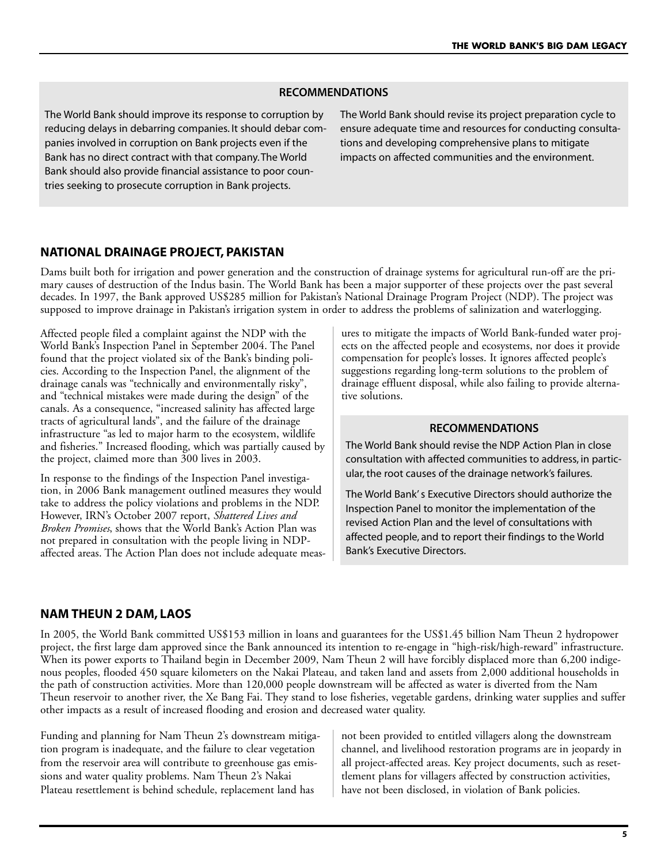### **RECOMMENDATIONS**

The World Bank should improve its response to corruption by reducing delays in debarring companies. It should debar companies involved in corruption on Bank projects even if the Bank has no direct contract with that company. The World Bank should also provide financial assistance to poor countries seeking to prosecute corruption in Bank projects.

The World Bank should revise its project preparation cycle to ensure adequate time and resources for conducting consultations and developing comprehensive plans to mitigate impacts on affected communities and the environment.

### **NATIONAL DRAINAGE PROJECT, PAKISTAN**

Dams built both for irrigation and power generation and the construction of drainage systems for agricultural run-off are the primary causes of destruction of the Indus basin. The World Bank has been a major supporter of these projects over the past several decades. In 1997, the Bank approved US\$285 million for Pakistan's National Drainage Program Project (NDP). The project was supposed to improve drainage in Pakistan's irrigation system in order to address the problems of salinization and waterlogging.

Affected people filed a complaint against the NDP with the World Bank's Inspection Panel in September 2004. The Panel found that the project violated six of the Bank's binding policies. According to the Inspection Panel, the alignment of the drainage canals was "technically and environmentally risky", and "technical mistakes were made during the design" of the canals. As a consequence, "increased salinity has affected large tracts of agricultural lands", and the failure of the drainage infrastructure "as led to major harm to the ecosystem, wildlife and fisheries." Increased flooding, which was partially caused by the project, claimed more than 300 lives in 2003.

In response to the findings of the Inspection Panel investigation, in 2006 Bank management outlined measures they would take to address the policy violations and problems in the NDP. However, IRN's October 2007 report, *Shattered Lives and Broken Promises*, shows that the World Bank's Action Plan was not prepared in consultation with the people living in NDPaffected areas. The Action Plan does not include adequate measures to mitigate the impacts of World Bank-funded water projects on the affected people and ecosystems, nor does it provide compensation for people's losses. It ignores affected people's suggestions regarding long-term solutions to the problem of drainage effluent disposal, while also failing to provide alternative solutions.

#### **RECOMMENDATIONS**

The World Bank should revise the NDP Action Plan in close consultation with affected communities to address, in particular, the root causes of the drainage network's failures.

The World Bank's Executive Directors should authorize the Inspection Panel to monitor the implementation of the revised Action Plan and the level of consultations with affected people, and to report their findings to the World Bank's Executive Directors.

### **NAM THEUN 2 DAM, LAOS**

In 2005, the World Bank committed US\$153 million in loans and guarantees for the US\$1.45 billion Nam Theun 2 hydropower project, the first large dam approved since the Bank announced its intention to re-engage in "high-risk/high-reward" infrastructure. When its power exports to Thailand begin in December 2009, Nam Theun 2 will have forcibly displaced more than 6,200 indigenous peoples, flooded 450 square kilometers on the Nakai Plateau, and taken land and assets from 2,000 additional households in the path of construction activities. More than 120,000 people downstream will be affected as water is diverted from the Nam Theun reservoir to another river, the Xe Bang Fai. They stand to lose fisheries, vegetable gardens, drinking water supplies and suffer other impacts as a result of increased flooding and erosion and decreased water quality.

Funding and planning for Nam Theun 2's downstream mitigation program is inadequate, and the failure to clear vegetation from the reservoir area will contribute to greenhouse gas emissions and water quality problems. Nam Theun 2's Nakai Plateau resettlement is behind schedule, replacement land has

not been provided to entitled villagers along the downstream channel, and livelihood restoration programs are in jeopardy in all project-affected areas. Key project documents, such as resettlement plans for villagers affected by construction activities, have not been disclosed, in violation of Bank policies.